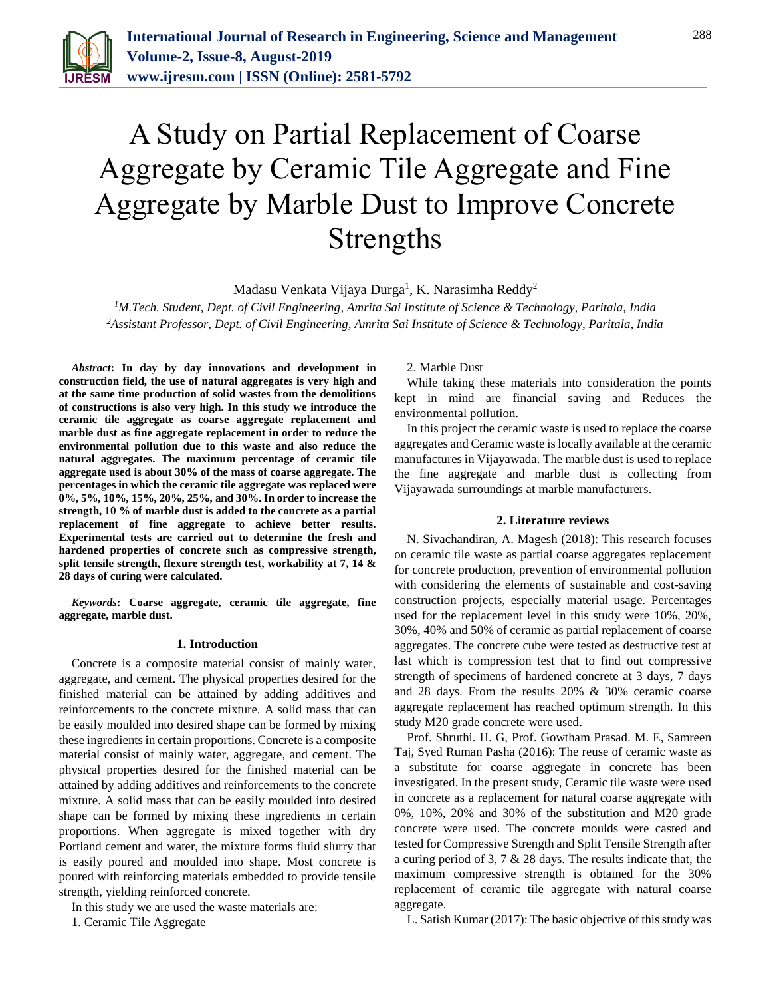

# A Study on Partial Replacement of Coarse Aggregate by Ceramic Tile Aggregate and Fine Aggregate by Marble Dust to Improve Concrete Strengths

Madasu Venkata Vijaya Durga<sup>1</sup>, K. Narasimha Reddy<sup>2</sup>

*<sup>1</sup>M.Tech. Student, Dept. of Civil Engineering, Amrita Sai Institute of Science & Technology, Paritala, India 2Assistant Professor, Dept. of Civil Engineering, Amrita Sai Institute of Science & Technology, Paritala, India*

*Abstract***: In day by day innovations and development in construction field, the use of natural aggregates is very high and at the same time production of solid wastes from the demolitions of constructions is also very high. In this study we introduce the ceramic tile aggregate as coarse aggregate replacement and marble dust as fine aggregate replacement in order to reduce the environmental pollution due to this waste and also reduce the natural aggregates. The maximum percentage of ceramic tile aggregate used is about 30% of the mass of coarse aggregate. The percentages in which the ceramic tile aggregate was replaced were 0%, 5%, 10%, 15%, 20%, 25%, and 30%. In order to increase the strength, 10 % of marble dust is added to the concrete as a partial replacement of fine aggregate to achieve better results. Experimental tests are carried out to determine the fresh and hardened properties of concrete such as compressive strength, split tensile strength, flexure strength test, workability at 7, 14 & 28 days of curing were calculated.**

*Keywords***: Coarse aggregate, ceramic tile aggregate, fine aggregate, marble dust.**

#### **1. Introduction**

Concrete is a composite material consist of mainly water, aggregate, and cement. The physical properties desired for the finished material can be attained by adding additives and reinforcements to the concrete mixture. A solid mass that can be easily moulded into desired shape can be formed by mixing these ingredients in certain proportions. Concrete is a composite material consist of mainly water, aggregate, and cement. The physical properties desired for the finished material can be attained by adding additives and reinforcements to the concrete mixture. A solid mass that can be easily moulded into desired shape can be formed by mixing these ingredients in certain proportions. When aggregate is mixed together with dry Portland cement and water, the mixture forms fluid slurry that is easily poured and moulded into shape. Most concrete is poured with reinforcing materials embedded to provide tensile strength, yielding reinforced concrete.

In this study we are used the waste materials are:

1. Ceramic Tile Aggregate

2. Marble Dust

While taking these materials into consideration the points kept in mind are financial saving and Reduces the environmental pollution.

In this project the ceramic waste is used to replace the coarse aggregates and Ceramic waste is locally available at the ceramic manufactures in Vijayawada. The marble dust is used to replace the fine aggregate and marble dust is collecting from Vijayawada surroundings at marble manufacturers.

# **2. Literature reviews**

N. Sivachandiran, A. Magesh (2018): This research focuses on ceramic tile waste as partial coarse aggregates replacement for concrete production, prevention of environmental pollution with considering the elements of sustainable and cost-saving construction projects, especially material usage. Percentages used for the replacement level in this study were 10%, 20%, 30%, 40% and 50% of ceramic as partial replacement of coarse aggregates. The concrete cube were tested as destructive test at last which is compression test that to find out compressive strength of specimens of hardened concrete at 3 days, 7 days and 28 days. From the results 20% & 30% ceramic coarse aggregate replacement has reached optimum strength. In this study M20 grade concrete were used.

Prof. Shruthi. H. G, Prof. Gowtham Prasad. M. E, Samreen Taj, Syed Ruman Pasha (2016): The reuse of ceramic waste as a substitute for coarse aggregate in concrete has been investigated. In the present study, Ceramic tile waste were used in concrete as a replacement for natural coarse aggregate with 0%, 10%, 20% and 30% of the substitution and M20 grade concrete were used. The concrete moulds were casted and tested for Compressive Strength and Split Tensile Strength after a curing period of 3, 7 & 28 days. The results indicate that, the maximum compressive strength is obtained for the 30% replacement of ceramic tile aggregate with natural coarse aggregate.

L. Satish Kumar (2017): The basic objective of this study was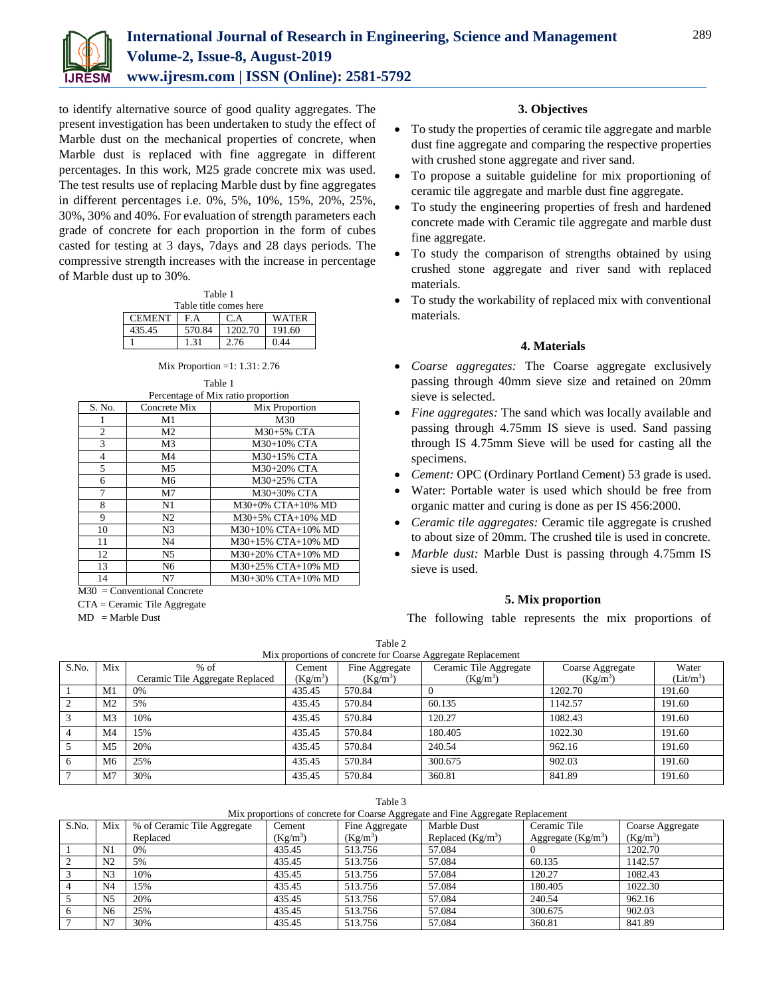

to identify alternative source of good quality aggregates. The present investigation has been undertaken to study the effect of Marble dust on the mechanical properties of concrete, when Marble dust is replaced with fine aggregate in different percentages. In this work, M25 grade concrete mix was used. The test results use of replacing Marble dust by fine aggregates in different percentages i.e. 0%, 5%, 10%, 15%, 20%, 25%, 30%, 30% and 40%. For evaluation of strength parameters each grade of concrete for each proportion in the form of cubes casted for testing at 3 days, 7days and 28 days periods. The compressive strength increases with the increase in percentage of Marble dust up to 30%.

| Table 1                              |         |        |  |  |  |  |  |
|--------------------------------------|---------|--------|--|--|--|--|--|
| Table title comes here               |         |        |  |  |  |  |  |
| <b>CEMENT</b><br>F A<br>WATER<br>C.A |         |        |  |  |  |  |  |
| 570.84                               | 1202.70 | 191.60 |  |  |  |  |  |
|                                      | 2.76    | 0.44   |  |  |  |  |  |
|                                      |         |        |  |  |  |  |  |

Mix Proportion =1: 1.31: 2.76

Table 1

| Percentage of Mix ratio proportion |                |                    |  |  |  |
|------------------------------------|----------------|--------------------|--|--|--|
| S. No.                             | Concrete Mix   | Mix Proportion     |  |  |  |
| 1                                  | M1             | M30                |  |  |  |
| 2                                  | M <sub>2</sub> | M30+5% CTA         |  |  |  |
| 3                                  | M <sub>3</sub> | M30+10% CTA        |  |  |  |
| 4                                  | M4             | M30+15% CTA        |  |  |  |
| 5                                  | M <sub>5</sub> | M30+20% CTA        |  |  |  |
| 6                                  | M <sub>6</sub> | M30+25% CTA        |  |  |  |
| 7                                  | M7             | M30+30% CTA        |  |  |  |
| 8                                  | N1             | M30+0% CTA+10% MD  |  |  |  |
| 9                                  | N2             | M30+5% CTA+10% MD  |  |  |  |
| 10                                 | N <sub>3</sub> | M30+10% CTA+10% MD |  |  |  |
| 11                                 | N <sub>4</sub> | M30+15% CTA+10% MD |  |  |  |
| 12                                 | N5             | M30+20% CTA+10% MD |  |  |  |
| 13                                 | N <sub>6</sub> | M30+25% CTA+10% MD |  |  |  |
| 14                                 | N <sub>7</sub> | M30+30% CTA+10% MD |  |  |  |

M30 = Conventional Concrete

CTA = Ceramic Tile Aggregate

 $MD = Market$  Dust

# **3. Objectives**

- To study the properties of ceramic tile aggregate and marble dust fine aggregate and comparing the respective properties with crushed stone aggregate and river sand.
- To propose a suitable guideline for mix proportioning of ceramic tile aggregate and marble dust fine aggregate.
- To study the engineering properties of fresh and hardened concrete made with Ceramic tile aggregate and marble dust fine aggregate.
- To study the comparison of strengths obtained by using crushed stone aggregate and river sand with replaced materials.
- To study the workability of replaced mix with conventional materials.

# **4. Materials**

- *Coarse aggregates:* The Coarse aggregate exclusively passing through 40mm sieve size and retained on 20mm sieve is selected.
- *Fine aggregates:* The sand which was locally available and passing through 4.75mm IS sieve is used. Sand passing through IS 4.75mm Sieve will be used for casting all the specimens.
- *Cement:* OPC (Ordinary Portland Cement) 53 grade is used.
- Water: Portable water is used which should be free from organic matter and curing is done as per IS 456:2000.
- *Ceramic tile aggregates:* Ceramic tile aggregate is crushed to about size of 20mm. The crushed tile is used in concrete.
- *Marble dust:* Marble Dust is passing through 4.75mm IS sieve is used.

# **5. Mix proportion**

The following table represents the mix proportions of

|       | Mix proportions of concrete for Coarse Aggregate Replacement |                                 |            |                |                        |                  |                       |  |
|-------|--------------------------------------------------------------|---------------------------------|------------|----------------|------------------------|------------------|-----------------------|--|
| S.No. | Mix                                                          | $%$ of                          | Cement     | Fine Aggregate | Ceramic Tile Aggregate | Coarse Aggregate | Water                 |  |
|       |                                                              | Ceramic Tile Aggregate Replaced | $(Kg/m^3)$ | $(Kg/m^3)$     | $(Kg/m^3)$             | $(Kg/m^3)$       | (Lit/m <sup>3</sup> ) |  |
|       | M1                                                           | 0%                              | 435.45     | 570.84         |                        | 1202.70          | 191.60                |  |
|       | M <sub>2</sub>                                               | 5%                              | 435.45     | 570.84         | 60.135                 | 1142.57          | 191.60                |  |
| 3     | M <sub>3</sub>                                               | 10%                             | 435.45     | 570.84         | 120.27                 | 1082.43          | 191.60                |  |
| 4     | M4                                                           | 15%                             | 435.45     | 570.84         | 180.405                | 1022.30          | 191.60                |  |
|       | M <sub>5</sub>                                               | 20%                             | 435.45     | 570.84         | 240.54                 | 962.16           | 191.60                |  |
| -6    | M <sub>6</sub>                                               | 25%                             | 435.45     | 570.84         | 300.675                | 902.03           | 191.60                |  |
|       | M <sub>7</sub>                                               | 30%                             | 435.45     | 570.84         | 360.81                 | 841.89           | 191.60                |  |

Table 3

| Mix proportions of concrete for Coarse Aggregate and Fine Aggregate Replacement |  |
|---------------------------------------------------------------------------------|--|
|                                                                                 |  |
|                                                                                 |  |

| S.No. | Mix            | % of Ceramic Tile Aggregate | Cement     | Fine Aggregate | Marble Dust        | Ceramic Tile        | Coarse Aggregate |
|-------|----------------|-----------------------------|------------|----------------|--------------------|---------------------|------------------|
|       |                | Replaced                    | $(Kg/m^3)$ | $(Kg/m^3)$     | Replaced $(Kg/m3)$ | Aggregate $(Kg/m3)$ | $(Kg/m^3)$       |
|       | N1             | 0%                          | 435.45     | 513.756        | 57.084             |                     | 1202.70          |
|       | N <sub>2</sub> | 5%                          | 435.45     | 513.756        | 57.084             | 60.135              | 1142.57          |
|       | N <sub>3</sub> | 10%                         | 435.45     | 513.756        | 57.084             | 120.27              | 1082.43          |
|       | N <sub>4</sub> | 15%                         | 435.45     | 513.756        | 57.084             | 180.405             | 1022.30          |
|       | N <sub>5</sub> | 20%                         | 435.45     | 513.756        | 57.084             | 240.54              | 962.16           |
|       | N <sub>6</sub> | 25%                         | 435.45     | 513.756        | 57.084             | 300.675             | 902.03           |
|       | N7             | 30%                         | 435.45     | 513.756        | 57.084             | 360.81              | 841.89           |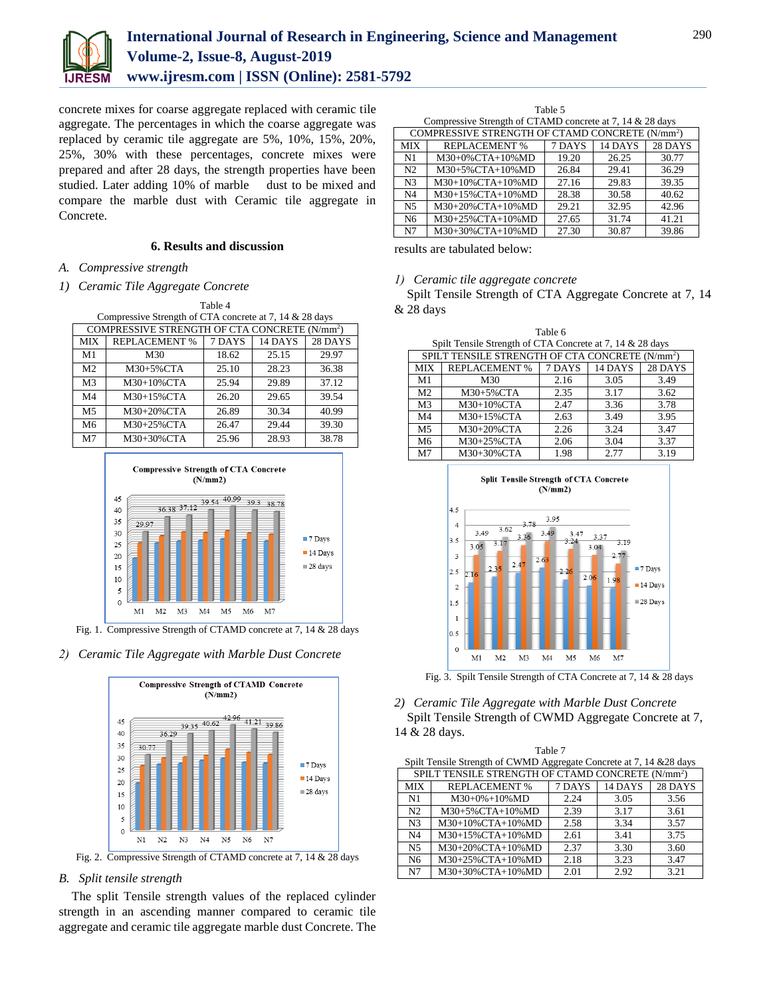

# **International Journal of Research in Engineering, Science and Management Volume-2, Issue-8, August-2019 www.ijresm.com | ISSN (Online): 2581-5792**

concrete mixes for coarse aggregate replaced with ceramic tile aggregate. The percentages in which the coarse aggregate was replaced by ceramic tile aggregate are 5%, 10%, 15%, 20%, 25%, 30% with these percentages, concrete mixes were prepared and after 28 days, the strength properties have been studied. Later adding 10% of marble dust to be mixed and compare the marble dust with Ceramic tile aggregate in Concrete.

### **6. Results and discussion**

*A. Compressive strength*

#### *1) Ceramic Tile Aggregate Concrete*

| Table 4                                                 |                                                           |        |         |         |  |  |
|---------------------------------------------------------|-----------------------------------------------------------|--------|---------|---------|--|--|
| Compressive Strength of CTA concrete at 7, 14 & 28 days |                                                           |        |         |         |  |  |
|                                                         | COMPRESSIVE STRENGTH OF CTA CONCRETE (N/mm <sup>2</sup> ) |        |         |         |  |  |
| <b>MIX</b>                                              | <b>REPLACEMENT %</b>                                      | 7 DAYS | 14 DAYS | 28 DAYS |  |  |
| M <sub>1</sub>                                          | M30                                                       | 18.62  | 25.15   | 29.97   |  |  |
|                                                         |                                                           |        |         |         |  |  |

| M <sub>2</sub><br>28.23<br>$M30+5\%$ CTA<br>25.10<br>36.38<br>25.94<br>29.89<br>M3<br>37.12<br>$M30+10\%$ CTA<br>26.20<br>M4<br>39.54<br>M30+15%CTA<br>29.65<br>M5<br>26.89<br>30.34<br>M30+20%CTA<br>40.99<br>29.44<br>39.30<br>М6<br>M30+25%CTA<br>26.47<br>28.93<br>M <sub>7</sub><br>38.78<br>25.96<br>$M30+30\%$ CTA |  |  |  |
|---------------------------------------------------------------------------------------------------------------------------------------------------------------------------------------------------------------------------------------------------------------------------------------------------------------------------|--|--|--|
|                                                                                                                                                                                                                                                                                                                           |  |  |  |
|                                                                                                                                                                                                                                                                                                                           |  |  |  |
|                                                                                                                                                                                                                                                                                                                           |  |  |  |
|                                                                                                                                                                                                                                                                                                                           |  |  |  |
|                                                                                                                                                                                                                                                                                                                           |  |  |  |
|                                                                                                                                                                                                                                                                                                                           |  |  |  |



Fig. 1. Compressive Strength of CTAMD concrete at 7, 14 & 28 days

#### *2) Ceramic Tile Aggregate with Marble Dust Concrete*



Fig. 2. Compressive Strength of CTAMD concrete at 7, 14 & 28 days

# *B. Split tensile strength*

The split Tensile strength values of the replaced cylinder strength in an ascending manner compared to ceramic tile aggregate and ceramic tile aggregate marble dust Concrete. The

Table 5 Compressive Strength of CTAMD concrete at 7, 14 & 28 days COMPRESSIVE STRENGTH OF CTAMD CONCRETE (N/mm<sup>2</sup> ) MIX REPLACEMENT % 7 DAYS 14 DAYS 28 DAYS N1 | M30+0%CTA+10%MD | 19.20 | 26.25 | 30.77 N2 M30+5%CTA+10%MD 26.84 29.41 36.29 N3 M30+10%CTA+10%MD 27.16 29.83 39.35<br>N4 M30+15%CTA+10%MD 28.38 30.58 40.62 N4 | M30+15%CTA+10%MD | 28.38 | 30.58 | 40.62 N5 M30+20%CTA+10%MD 29.21 32.95 42.96 N6 M30+25%CTA+10%MD 27.65 31.74 41.21<br>N7 M30+30%CTA+10%MD 27.30 30.87 39.86 N7 | M30+30%CTA+10%MD | 27.30 | 30.87 | 39.86

results are tabulated below:

*1) Ceramic tile aggregate concrete*

Spilt Tensile Strength of CTA Aggregate Concrete at 7, 14 & 28 days

Table 6

|                | Spilt Tensile Strength of CTA Concrete at 7, 14 & 28 days   |        |         |         |  |  |  |
|----------------|-------------------------------------------------------------|--------|---------|---------|--|--|--|
|                | SPILT TENSILE STRENGTH OF CTA CONCRETE (N/mm <sup>2</sup> ) |        |         |         |  |  |  |
| <b>MIX</b>     | <b>REPLACEMENT %</b>                                        | 7 DAYS | 14 DAYS | 28 DAYS |  |  |  |
| M1             | M30                                                         | 2.16   | 3.05    | 3.49    |  |  |  |
| M <sub>2</sub> | $M30+5\%$ CTA                                               | 2.35   | 3.17    | 3.62    |  |  |  |
| M <sub>3</sub> | M30+10%CTA                                                  | 2.47   | 3.36    | 3.78    |  |  |  |
| M <sub>4</sub> | M30+15%CTA                                                  | 2.63   | 3.49    | 3.95    |  |  |  |
| M <sub>5</sub> | M30+20%CTA                                                  | 2.26   | 3.24    | 3.47    |  |  |  |
| M <sub>6</sub> | M30+25%CTA                                                  | 2.06   | 3.04    | 3.37    |  |  |  |
| M <sub>7</sub> | M30+30%CTA                                                  | 1.98   | 2.77    | 3.19    |  |  |  |



Fig. 3. Spilt Tensile Strength of CTA Concrete at 7, 14 & 28 days

*2) Ceramic Tile Aggregate with Marble Dust Concrete* Spilt Tensile Strength of CWMD Aggregate Concrete at 7, 14 & 28 days.

|                | Table 7                                                              |        |         |         |  |  |
|----------------|----------------------------------------------------------------------|--------|---------|---------|--|--|
|                | Spilt Tensile Strength of CWMD Aggregate Concrete at 7, 14 & 28 days |        |         |         |  |  |
|                | SPILT TENSILE STRENGTH OF CTAMD CONCRETE (N/mm <sup>2</sup> )        |        |         |         |  |  |
| <b>MIX</b>     | <b>REPLACEMENT %</b>                                                 | 7 DAYS | 14 DAYS | 28 DAYS |  |  |
| N1             | $M30+0\%+10\%MD$                                                     | 2.24   | 3.05    | 3.56    |  |  |
| N <sub>2</sub> | M30+5%CTA+10%MD                                                      | 2.39   | 3.17    | 3.61    |  |  |
| N <sub>3</sub> | M30+10%CTA+10%MD                                                     | 2.58   | 3.34    | 3.57    |  |  |
| N <sub>4</sub> | M30+15%CTA+10%MD                                                     | 2.61   | 3.41    | 3.75    |  |  |
| N <sub>5</sub> | M30+20%CTA+10%MD                                                     | 2.37   | 3.30    | 3.60    |  |  |
| N <sub>6</sub> | M30+25%CTA+10%MD                                                     | 2.18   | 3.23    | 3.47    |  |  |
| N7             | M30+30%CTA+10%MD                                                     | 2.01   | 2.92    | 3.21    |  |  |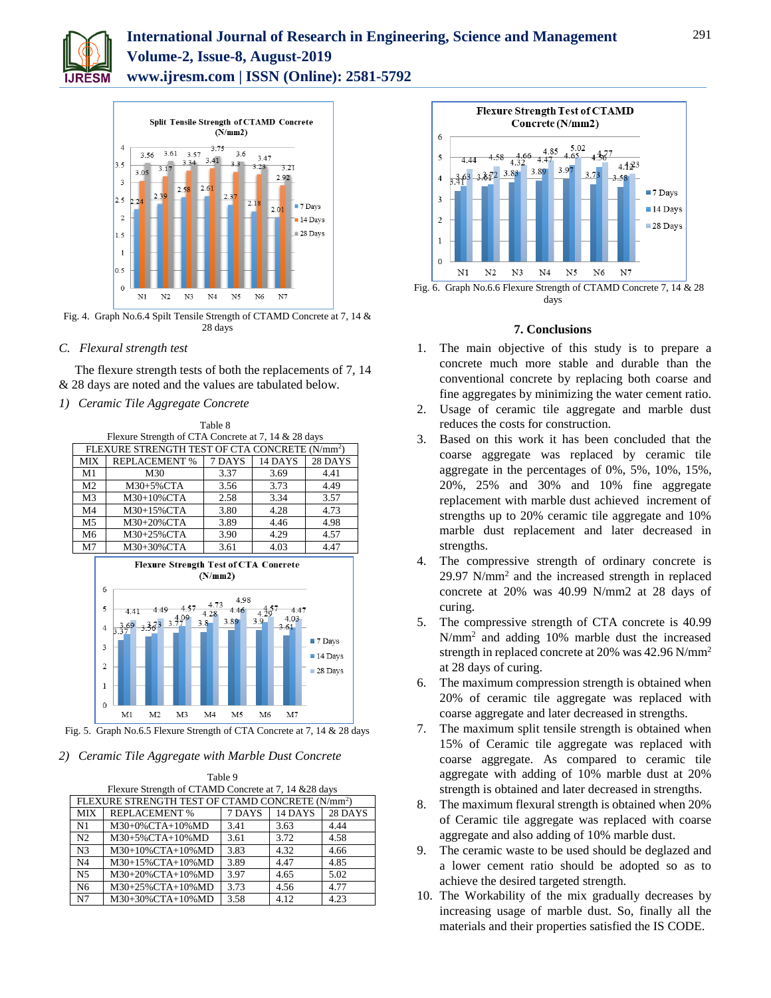

# **International Journal of Research in Engineering, Science and Management Volume-2, Issue-8, August-2019 www.ijresm.com | ISSN (Online): 2581-5792**



Fig. 4. Graph No.6.4 Spilt Tensile Strength of CTAMD Concrete at 7, 14 & 28 days

# *C. Flexural strength test*

The flexure strength tests of both the replacements of 7, 14 & 28 days are noted and the values are tabulated below.

Table 9

*1) Ceramic Tile Aggregate Concrete*

|                | 1411 C                                                     |                     |         |         |  |  |
|----------------|------------------------------------------------------------|---------------------|---------|---------|--|--|
|                | Flexure Strength of CTA Concrete at 7, 14 & 28 days        |                     |         |         |  |  |
|                | FLEXURE STRENGTH TEST OF CTA CONCRETE (N/mm <sup>2</sup> ) |                     |         |         |  |  |
| МIХ            | <b>REPLACEMENT %</b>                                       | $\overline{7}$ DAYS | 14 DAYS | 28 DAYS |  |  |
| M1             | M30                                                        | 3.37                | 3.69    | 4.41    |  |  |
| M <sub>2</sub> | M30+5%CTA                                                  | 3.56                | 3.73    | 4.49    |  |  |
| M <sub>3</sub> | M30+10%CTA                                                 | 2.58                | 3.34    | 3.57    |  |  |
| M <sub>4</sub> | M30+15%CTA                                                 | 3.80                | 4.28    | 4.73    |  |  |
| M5             | M30+20%CTA                                                 | 3.89                | 4.46    | 4.98    |  |  |
| M <sub>6</sub> | M30+25%CTA                                                 | 3.90                | 4.29    | 4.57    |  |  |
| M7             | M30+30%CTA                                                 | 3.61                | 4.03    | 4.47    |  |  |



Fig. 5. Graph No.6.5 Flexure Strength of CTA Concrete at 7, 14 & 28 days

# *2) Ceramic Tile Aggregate with Marble Dust Concrete*

|                | Table 9                                                      |        |         |         |  |  |
|----------------|--------------------------------------------------------------|--------|---------|---------|--|--|
|                | Flexure Strength of CTAMD Concrete at 7, 14 & 28 days        |        |         |         |  |  |
|                | FLEXURE STRENGTH TEST OF CTAMD CONCRETE (N/mm <sup>2</sup> ) |        |         |         |  |  |
| <b>MIX</b>     | <b>REPLACEMENT %</b>                                         | 7 DAYS | 14 DAYS | 28 DAYS |  |  |
| N1             | M30+0%CTA+10%MD                                              | 3.41   | 3.63    | 4.44    |  |  |
| N <sub>2</sub> | M30+5%CTA+10%MD                                              | 3.61   | 3.72    | 4.58    |  |  |
| N <sub>3</sub> | M30+10%CTA+10%MD                                             | 3.83   | 4.32    | 4.66    |  |  |
| N <sub>4</sub> | M30+15%CTA+10%MD                                             | 3.89   | 4.47    | 4.85    |  |  |
| N <sub>5</sub> | M30+20%CTA+10%MD                                             | 3.97   | 4.65    | 5.02    |  |  |
| N <sub>6</sub> | M30+25%CTA+10%MD                                             | 3.73   | 4.56    | 4.77    |  |  |
| N7             | M30+30%CTA+10%MD                                             | 3.58   | 4.12    | 4.23    |  |  |



# **7. Conclusions**

- 1. The main objective of this study is to prepare a concrete much more stable and durable than the conventional concrete by replacing both coarse and fine aggregates by minimizing the water cement ratio.
- 2. Usage of ceramic tile aggregate and marble dust reduces the costs for construction.
- 3. Based on this work it has been concluded that the coarse aggregate was replaced by ceramic tile aggregate in the percentages of 0%, 5%, 10%, 15%, 20%, 25% and 30% and 10% fine aggregate replacement with marble dust achieved increment of strengths up to 20% ceramic tile aggregate and 10% marble dust replacement and later decreased in strengths.
- 4. The compressive strength of ordinary concrete is  $29.97$  N/mm<sup>2</sup> and the increased strength in replaced concrete at 20% was 40.99 N/mm2 at 28 days of curing.
- 5. The compressive strength of CTA concrete is 40.99 N/mm<sup>2</sup> and adding 10% marble dust the increased strength in replaced concrete at 20% was 42.96 N/mm<sup>2</sup> at 28 days of curing.
- 6. The maximum compression strength is obtained when 20% of ceramic tile aggregate was replaced with coarse aggregate and later decreased in strengths.
- 7. The maximum split tensile strength is obtained when 15% of Ceramic tile aggregate was replaced with coarse aggregate. As compared to ceramic tile aggregate with adding of 10% marble dust at 20% strength is obtained and later decreased in strengths.
- 8. The maximum flexural strength is obtained when 20% of Ceramic tile aggregate was replaced with coarse aggregate and also adding of 10% marble dust.
- 9. The ceramic waste to be used should be deglazed and a lower cement ratio should be adopted so as to achieve the desired targeted strength.
- 10. The Workability of the mix gradually decreases by increasing usage of marble dust. So, finally all the materials and their properties satisfied the IS CODE.